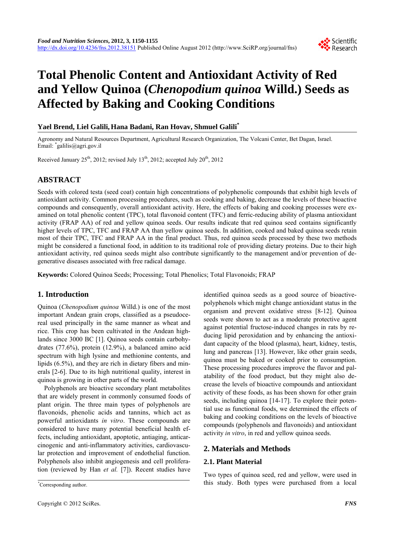## Scientific Research

# **Total Phenolic Content and Antioxidant Activity of Red and Yellow Quinoa (***Chenopodium quinoa* **Willd.) Seeds as Affected by Baking and Cooking Conditions**

# **Yael Brend, Liel Galili, Hana Badani, Ran Hovav, Shmuel Galili\***

Agronomy and Natural Resources Department, Agricultural Research Organization, The Volcani Center, Bet Dagan, Israel. Email: \* galilis@agri.gov.il

Received January  $25<sup>th</sup>$ , 2012; revised July 13<sup>th</sup>, 2012; accepted July  $20<sup>th</sup>$ , 2012

# **ABSTRACT**

Seeds with colored testa (seed coat) contain high concentrations of polyphenolic compounds that exhibit high levels of antioxidant activity. Common processing procedures, such as cooking and baking, decrease the levels of these bioactive compounds and consequently, overall antioxidant activity. Here, the effects of baking and cooking processes were examined on total phenolic content (TPC), total flavonoid content (TFC) and ferric-reducing ability of plasma antioxidant activity (FRAP AA) of red and yellow quinoa seeds. Our results indicate that red quinoa seed contains significantly higher levels of TPC, TFC and FRAP AA than yellow quinoa seeds. In addition, cooked and baked quinoa seeds retain most of their TPC, TFC and FRAP AA in the final product. Thus, red quinoa seeds processed by these two methods might be considered a functional food, in addition to its traditional role of providing dietary proteins. Due to their high antioxidant activity, red quinoa seeds might also contribute significantly to the management and/or prevention of degenerative diseases associated with free radical damage.

**Keywords:** Colored Quinoa Seeds; Processing; Total Phenolics; Total Flavonoids; FRAP

# **1. Introduction**

Quinoa (*Chenopodium quinoa* Willd.) is one of the most important Andean grain crops, classified as a pseudocereal used principally in the same manner as wheat and rice. This crop has been cultivated in the Andean highlands since 3000 BC [1]. Quinoa seeds contain carbohydrates (77.6%), protein (12.9%), a balanced amino acid spectrum with high lysine and methionine contents, and lipids (6.5%), and they are rich in dietary fibers and minerals [2-6]. Due to its high nutritional quality, interest in quinoa is growing in other parts of the world.

Polyphenols are bioactive secondary plant metabolites that are widely present in commonly consumed foods of plant origin. The three main types of polyphenols are flavonoids, phenolic acids and tannins, which act as powerful antioxidants *in vitro*. These compounds are considered to have many potential beneficial health effects, including antioxidant, apoptotic, antiaging, anticarcinogenic and anti-inflammatory activities, cardiovascular protection and improvement of endothelial function. Polyphenols also inhibit angiogenesis and cell proliferation (reviewed by Han *et al.* [7]). Recent studies have

identified quinoa seeds as a good source of bioactivepolyphenols which might change antioxidant status in the organism and prevent oxidative stress [8-12]. Quinoa seeds were shown to act as a moderate protective agent against potential fructose-induced changes in rats by reducing lipid peroxidation and by enhancing the antioxidant capacity of the blood (plasma), heart, kidney, testis, lung and pancreas [13]. However, like other grain seeds, quinoa must be baked or cooked prior to consumption. These processing procedures improve the flavor and palatability of the food product, but they might also decrease the levels of bioactive compounds and antioxidant activity of these foods, as has been shown for other grain seeds, including quinoa [14-17]. To explore their potential use as functional foods, we determined the effects of baking and cooking conditions on the levels of bioactive compounds (polyphenols and flavonoids) and antioxidant activity *in vitro*, in red and yellow quinoa seeds.

# **2. Materials and Methods**

## **2.1. Plant Material**

Two types of quinoa seed, red and yellow, were used in this study. Both types were purchased from a local

<sup>\*</sup>Corresponding author.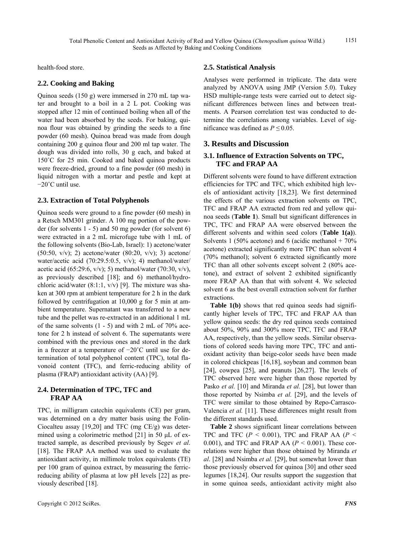health-food store.

#### **2.2. Cooking and Baking**

Quinoa seeds (150 g) were immersed in 270 mL tap water and brought to a boil in a 2 L pot. Cooking was stopped after 12 min of continued boiling when all of the water had been absorbed by the seeds. For baking, quinoa flour was obtained by grinding the seeds to a fine powder (60 mesh). Quinoa bread was made from dough containing 200 g quinoa flour and 200 ml tap water. The dough was divided into rolls, 30 g each, and baked at 150˚C for 25 min. Cooked and baked quinoa products were freeze-dried, ground to a fine powder (60 mesh) in liquid nitrogen with a mortar and pestle and kept at −20˚C until use.

#### **2.3. Extraction of Total Polyphenols**

Quinoa seeds were ground to a fine powder (60 mesh) in a Retsch MM301 grinder. A 100 mg portion of the powder (for solvents 1 - 5) and 50 mg powder (for solvent 6) were extracted in a 2 mL microfuge tube with 1 mL of the following solvents (Bio-Lab, Israel): 1) acetone/water (50:50, v/v); 2) acetone/water  $(80:20, v/v)$ ; 3) acetone/ water/acetic acid  $(70:29.5:0.5, v/v)$ ; 4) methanol/water/ acetic acid (65:29:6, v/v); 5) methanol/water (70:30, v/v), as previously described [18]; and 6) methanol/hydrochloric acid/water (8:1:1, v/v) [9]. The mixture was shaken at 300 rpm at ambient temperature for 2 h in the dark followed by centrifugation at 10,000 g for 5 min at ambient temperature. Supernatant was transferred to a new tube and the pellet was re-extracted in an additional 1 mL of the same solvents  $(1 - 5)$  and with 2 mL of 70% acetone for 2 h instead of solvent 6. The supernatants were combined with the previous ones and stored in the dark in a freezer at a temperature of −20˚C until use for determination of total polyphenol content (TPC), total flavonoid content (TFC), and ferric-reducing ability of plasma (FRAP) antioxidant activity (AA) [9].

#### **2.4. Determination of TPC, TFC and FRAP AA**

TPC, in milligram catechin equivalents (CE) per gram, was determined on a dry matter basis using the Folin-Ciocalteu assay [19,20] and TFC (mg CE/g) was determined using a colorimetric method [21] in 50 μL of extracted sample, as described previously by Segev *et al*. [18]. The FRAP AA method was used to evaluate the antioxidant activity, in millimole trolox equivalents (TE) per 100 gram of quinoa extract, by measuring the ferricreducing ability of plasma at low pH levels [22] as previously described [18].

#### **2.5. Statistical Analysis**

Analyses were performed in triplicate. The data were analyzed by ANOVA using JMP (Version 5.0). Tukey HSD multiple-range tests were carried out to detect significant differences between lines and between treatments. A Pearson correlation test was conducted to determine the correlations among variables. Level of significance was defined as  $P \leq 0.05$ .

#### **3. Results and Discussion**

#### **3.1. Influence of Extraction Solvents on TPC, TFC and FRAP AA**

Different solvents were found to have different extraction efficiencies for TPC and TFC, which exhibited high levels of antioxidant activity [18,23]. We first determined the effects of the various extraction solvents on TPC, TFC and FRAP AA extracted from red and yellow quinoa seeds (**Table 1**). Small but significant differences in TPC, TFC and FRAP AA were observed between the different solvents and within seed colors (**Table 1(a)**). Solvents 1 (50% acetone) and 6 (acidic methanol  $+70%$ acetone) extracted significantly more TPC than solvent 4 (70% methanol); solvent 6 extracted significantly more TFC than all other solvents except solvent 2 (80% acetone), and extract of solvent 2 exhibited significantly more FRAP AA than that with solvent 4. We selected solvent 6 as the best overall extraction solvent for further extractions.

**Table 1(b)** shows that red quinoa seeds had significantly higher levels of TPC, TFC and FRAP AA than yellow quinoa seeds: the dry red quinoa seeds contained about 50%, 90% and 300% more TPC, TFC and FRAP AA, respectively, than the yellow seeds. Similar observations of colored seeds having more TPC, TFC and antioxidant activity than beige-color seeds have been made in colored chickpeas [16,18], soybean and common bean [24], cowpea [25], and peanuts  $[26,27]$ . The levels of TPC observed here were higher than those reported by Pasko *et al.* [10] and Miranda *et al.* [28], but lower than those reported by Nsimba *et al.* [29], and the levels of TFC were similar to those obtained by Repo-Carrasco-Valencia *et al.* [11]. These differences might result from the different standards used.

**Table 2** shows significant linear correlations between TPC and TFC ( $P < 0.001$ ), TPC and FRAP AA ( $P <$ 0.001), and TFC and FRAP AA (*P <* 0.001). These correlations were higher than those obtained by Miranda *et al*. [28] and Nsimba *et al.* [29], but somewhat lower than those previously observed for quinoa [30] and other seed legumes [18,24]. Our results support the suggestion that in some quinoa seeds, antioxidant activity might also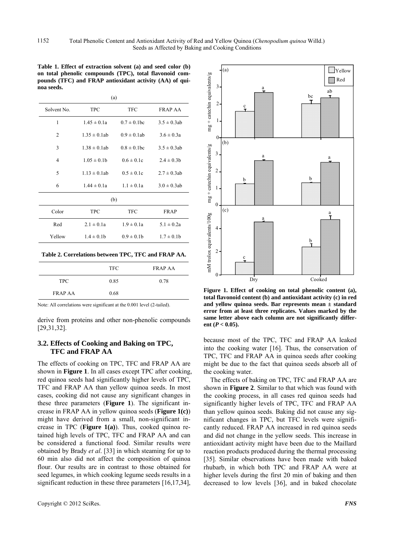**Table 1. Effect of extraction solvent (a) and seed color (b) on total phenolic compounds (TPC), total flavonoid compounds (TFC) and FRAP antioxidant activity (AA) of quinoa seeds.** 

| (a)         |                   |                  |                  |  |
|-------------|-------------------|------------------|------------------|--|
| Solvent No. | <b>TPC</b>        | TFC              | <b>FRAP AA</b>   |  |
| 1           | $1.45 \pm 0.1a$   | $0.7 \pm 0.1$ bc | $3.5 \pm 0.3$ ab |  |
| 2           | $1.35 \pm 0.1$ ab | $0.9 \pm 0.1$ ab | $3.6 \pm 0.3a$   |  |
| 3           | $1.38 \pm 0.1$ ab | $0.8 \pm 0.1$ bc | $3.5 \pm 0.3$ ab |  |
| 4           | $1.05 \pm 0.1$ b  | $0.6 \pm 0.1c$   | $2.4 \pm 0.3$ h  |  |
| 5           | $1.13 \pm 0.1$ ab | $0.5 \pm 0.1c$   | $2.7 \pm 0.3$ ab |  |
| 6           | $1.44 \pm 0.1a$   | $1.1 \pm 0.1a$   | $3.0 \pm 0.3$ ab |  |
| (b)         |                   |                  |                  |  |
| Color       | TPC               | TFC              | <b>FRAP</b>      |  |
| Red         | $2.1 \pm 0.1a$    | $1.9 \pm 0.1a$   | $5.1 \pm 0.2a$   |  |
| Yellow      | $1.4 \pm 0.1$ h   | $0.9 \pm 0.1$ h  | $1.7 \pm 0.1$ b  |  |

**Table 2. Correlations between TPC, TFC and FRAP AA.** 

|            | <b>TFC</b> | <b>FRAP AA</b> |
|------------|------------|----------------|
| <b>TPC</b> | 0.85       | 0.78           |
| FRAP AA    | 0.68       |                |

Note: All correlations were significant at the 0.001 level (2-tailed).

derive from proteins and other non-phenolic compounds [29,31,32].

## **3.2. Effects of Cooking and Baking on TPC, TFC and FRAP AA**

The effects of cooking on TPC, TFC and FRAP AA are shown in **Figure 1**. In all cases except TPC after cooking, red quinoa seeds had significantly higher levels of TPC, TFC and FRAP AA than yellow quinoa seeds. In most cases, cooking did not cause any significant changes in these three parameters (**Figure 1**). The significant increase in FRAP AA in yellow quinoa seeds (**Figure 1(c)**) might have derived from a small, non-significant increase in TPC (**Figure 1(a)**). Thus, cooked quinoa retained high levels of TPC, TFC and FRAP AA and can be considered a functional food. Similar results were obtained by Brady *et al*. [33] in which steaming for up to 60 min also did not affect the composition of quinoa flour. Our results are in contrast to those obtained for seed legumes, in which cooking legume seeds results in a significant reduction in these three parameters [16,17,34],



**Figure 1. Effect of cooking on total phenolic content (a), total flavonoid content (b) and antioxidant activity (c) in red and yellow quinoa seeds. Bar represents mean ± standard error from at least three replicates. Values marked by the same letter above each column are not significantly different (***P <* **0.05).** 

because most of the TPC, TFC and FRAP AA leaked into the cooking water [16]. Thus, the conservation of TPC, TFC and FRAP AA in quinoa seeds after cooking might be due to the fact that quinoa seeds absorb all of the cooking water.

The effects of baking on TPC, TFC and FRAP AA are shown in **Figure 2**. Similar to that which was found with the cooking process, in all cases red quinoa seeds had significantly higher levels of TPC, TFC and FRAP AA than yellow quinoa seeds. Baking did not cause any significant changes in TPC, but TFC levels were significantly reduced. FRAP AA increased in red quinoa seeds and did not change in the yellow seeds. This increase in antioxidant activity might have been due to the Maillard reaction products produced during the thermal processing [35]. Similar observations have been made with baked rhubarb, in which both TPC and FRAP AA were at higher levels during the first 20 min of baking and then decreased to low levels [36], and in baked chocolate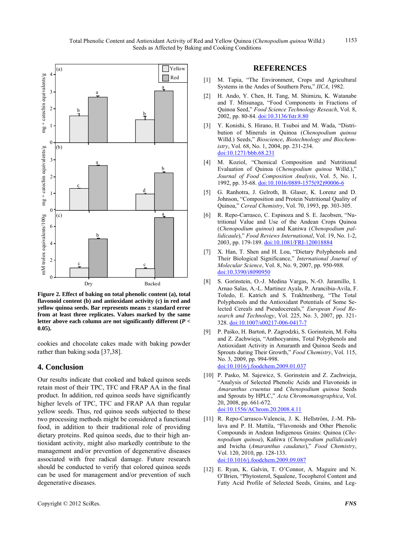

**Figure 2. Effect of baking on total phenolic content (a), total flavonoid content (b) and antioxidant activity (c) in red and yellow quinoa seeds. Bar represents means ± standard error from at least three replicates. Values marked by the same letter above each column are not significantly different (***P <*  **0.05).** 

cookies and chocolate cakes made with baking powder rather than baking soda [37,38].

## **4. Conclusion**

Our results indicate that cooked and baked quinoa seeds retain most of their TPC, TFC and FRAP AA in the final product. In addition, red quinoa seeds have significantly higher levels of TPC, TFC and FRAP AA than regular yellow seeds. Thus, red quinoa seeds subjected to these two processing methods might be considered a functional food, in addition to their traditional role of providing dietary proteins. Red quinoa seeds, due to their high antioxidant activity, might also markedly contribute to the management and/or prevention of degenerative diseases associated with free radical damage. Future research should be conducted to verify that colored quinoa seeds can be used for management and/or prevention of such degenerative diseases.

#### **REFERENCES**

1153

- [1] M. Tapia, "The Environment, Crops and Agricultural Systems in the Andes of Southern Peru," *IICA*, 1982.
- [2] H. Ando, Y. Chen, H. Tang, M. Shimizu, K. Watanabe and T. Mitsunaga, "Food Components in Fractions of Quinoa Seed," *Food Science Technology Reseach*, Vol. 8, 2002, pp. 80-84. [doi:10.3136/fstr.8.80](http://dx.doi.org/10.3136/fstr.8.80)
- [3] Y. Konishi, S. Hirano, H. Tsuboi and M. Wada, "Distribution of Minerals in Quinoa (*Chenopodium quinoa* Willd.) Seeds," *Bioscience*, *Biotechnology and Biochemistry*, Vol. 68, No. 1, 2004, pp. 231-234. [doi:10.1271/bbb.68.231](http://dx.doi.org/10.1271/bbb.68.231)
- [4] M. Koziol, "Chemical Composition and Nutritional Evaluation of Quinoa (*Chenopodium quinoa* Willd.)," *Journal of Food Composition Analysis*, Vol. 5, No. 1, 1992, pp. 35-68. [doi:10.1016/0889-1575\(92\)90006-6](http://dx.doi.org/10.1016/0889-1575(92)90006-6)
- [5] G. Ranhotra, J. Gelroth, B. Glaser, K. Lorenz and D. Johnson, "Composition and Protein Nutritional Quality of Quinoa," *Cereal Chemistry*, Vol. 70, 1993, pp. 303-305.
- [6] R. Repo-Carrasco, C. Espinoza and S. E. Jacobsen, "Nutritional Value and Use of the Andean Crops Quinoa (*Chenopodium quinoa*) and Kaniwa (*Chenopodium pallidicaule*)," *Food Reviews International*, Vol. 19, No. 1-2, 2003, pp. 179-189. [doi:10.1081/FRI-120018884](http://dx.doi.org/10.1081/FRI-120018884)
- [7] X. Han, T. Shen and H. Lou, "Dietary Polyphenols and Their Biological Significance," *International Journal of Molecular Science*, Vol. 8, No. 9, 2007, pp. 950-988. [doi:10.3390/i8090950](http://dx.doi.org/10.3390/i8090950)
- [8] S. Gorinstein, O.-J. Medina Vargas, N.-O. Jaramillo, I. Arnao Salas, A.-L. Martinez Ayala, P. Arancibia-Avila, F. Toledo, E. Katrich and S. Trakhtenberg, "The Total Polyphenols and the Antioxidant Potentials of Some Selected Cereals and Pseudocereals," *European Food Research and Technology*, Vol. 225, No. 3, 2007, pp. 321- 328. [doi:10.1007/s00217-006-0417-7](http://dx.doi.org/10.1007/s00217-006-0417-7)
- [9] P. Paśko, H. Bartoń, P. Zagrodzki, S. Gorinstein, M. Fołta and Z. Zachwieja, "Anthocyanins, Total Polyphenols and Antioxidant Activity in Amaranth and Quinoa Seeds and Sprouts during Their Growth," *Food Chemistry*, Vol. 115, No. 3, 2009, pp. 994-998. [doi:10.1016/j.foodchem.2009.01.037](http://dx.doi.org/10.1016/j.foodchem.2009.01.037)
- [10] P. Pasko, M. Sajewicz, S. Gorinstein and Z. Zachwieja, "Analysis of Selected Phenolic Acids and Flavonoids in *Amaranthus cruentus* and *Chenopodium quinoa* Seeds and Sprouts by HPLC," *Acta Chromomatographica*, Vol. 20, 2008, pp. 661-672. [doi:10.1556/AChrom.20.2008.4.11](http://dx.doi.org/10.1556/AChrom.20.2008.4.11)
- [11] R. Repo-Carrasco-Valencia, J. K. Hellström, J.-M. Pihlava and P. H. Mattila, "Flavonoids and Other Phenolic Compounds in Andean Indigenous Grains: Quinoa (*Chenopodium quinoa*), Kañiwa (*Chenopodium pallidicaule*) and Iwicha (*Amaranthus caudatus*)," *Food Chemistry*, Vol. 120, 2010, pp. 128-133. [doi:10.1016/j.foodchem.2009.09.087](http://dx.doi.org/10.1016/j.foodchem.2009.09.087)
- [12] E. Ryan, K. Galvin, T. O'Connor, A. Maguire and N. O'Brien, "Phytosterol, Squalene, Tocopherol Content and Fatty Acid Profile of Selected Seeds, Grains, and Leg-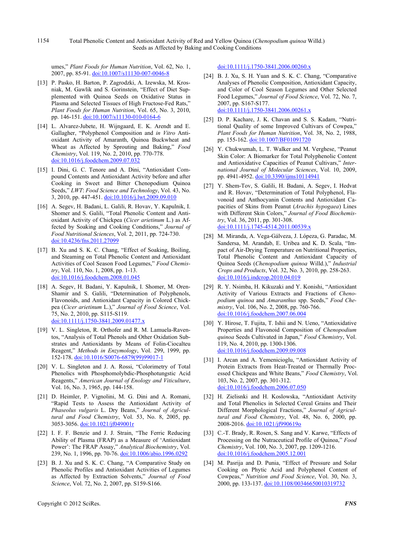Total Phenolic Content and Antioxidant Activity of Red and Yellow Quinoa (*Chenopodium quinoa* Willd.) Seeds as Affected by Baking and Cooking Conditions 1154

umes," *Plant Foods for Human Nutrition*, Vol. 62, No. 1, 2007, pp. 85-91. doi:10.1007/s11130-007-0046-8

- [13] P. Pasko, H. Barton, P. Zagrodzki, A. Izewska, M. Krosniak, M. Gawlik and S. Gorinstein, "Effect of Diet Supplemented with Quinoa Seeds on Oxidative Status in Plasma and Selected Tissues of High Fructose-Fed Rats," *Plant Foods for Human Nutrition*, Vol. 65, No. 3, 2010, pp. 146-151. [doi:10.1007/s11130-010-0164-6](http://dx.doi.org/10.1007/s11130-010-0164-6)
- [14] L. Alvarez-Jubete, H. Wijngaard, E. K. Arendt and E. Gallagher, "Polyphenol Composition and *in Vitro* Antioxidant Activity of Amaranth, Quinoa Buckwheat and Wheat as Affected by Sprouting and Baking," *Food Chemistry*, Vol. 119, No. 2, 2010, pp. 770-778. [doi:10.1016/j.foodchem.2009.07.032](http://dx.doi.org/10.1016/j.foodchem.2009.07.032)
- [15] I. Dini, G. C. Tenore and A. Dini, "Antioxidant Compound Contents and Antioxidant Activity before and after Cooking in Sweet and Bitter Chenopodium Quinoa Seeds," *LWT*: *Food Science and Technology*, Vol. 43, No. 3, 2010, pp. 447-451. [doi:10.1016/j.lwt.2009.09.010](http://dx.doi.org/10.1016/j.lwt.2009.09.010)
- [16] A. Segev, H. Badani, L. Galili, R. Hovav, Y. Kapulnik, I. Shomer and S. Galili, "Total Phenolic Content and Antioxidant Activity of Chickpea (*Cicer arietinum* L.) as Affected by Soaking and Cooking Conditions," *Journal of Food Nutritional Sciences*, Vol. 2, 2011, pp. 724-730. [doi:10.4236/fns.2011.27099](http://dx.doi.org/10.4236/fns.2011.27099)
- [17] B. Xu and S. K. C. Chang, "Effect of Soaking, Boiling, and Steaming on Total Phenolic Content and Antioxidant Activities of Cool Season Food Legumes," *Food Chemistry*, Vol. 110, No. 1, 2008, pp. 1-13. [doi:10.1016/j.foodchem.2008.01.045](http://dx.doi.org/10.1016/j.foodchem.2008.01.045)
- [18] A. Segev, H. Badani, Y. Kapulnik, I. Shomer, M. Oren-Shamir and S. Galili, "Determination of Polyphenols, Flavonoids, and Antioxidant Capacity in Colored Chickpea (*Cicer arietinum* L.)," *Journal of Food Science*, Vol. 75, No. 2, 2010, pp. S115-S119. [doi:10.1111/j.1750-3841.2009.01477.x](http://dx.doi.org/10.1111/j.1750-3841.2009.01477.x)
- [19] V. L. Singleton, R. Orthofer and R. M. Lamuela-Raventos, "Analysis of Total Phenols and Other Oxidation Substrates and Antioxidants by Means of Folin-Ciocalteu Reagent," *Methods in Enzymology*, Vol. 299, 1999, pp. 152-178. [doi:10.1016/S0076-6879\(99\)99017-1](http://dx.doi.org/10.1016/S0076-6879(99)99017-1)
- [20] V. L. Singleton and J. A. Rossi, "Colorimetry of Total Phenolics with Phosphomolybdic-Phosphotungstic Acid Reagents," *American Journal of Enology and Viticulture*, Vol. 16, No. 3, 1965, pp. 144-158.
- [21] D. Heimler, P. Vignolini, M. G. Dini and A. Romani, "Rapid Tests to Assess the Antioxidant Activity of *Phaseolus vulgaris* L. Dry Beans," *Journal of Agricultural and Food Chemistry*, Vol. 53, No. 8, 2005, pp. 3053-3056. [doi:10.1021/jf049001r](http://dx.doi.org/10.1021/jf049001r)
- [22] I. F. F. Benzie and J. J. Strain, "The Ferric Reducing Ability of Plasma (FRAP) as a Measure of 'Antioxidant Power': The FRAP Assay," *Analytical Biochemistry*, Vol. 239, No. 1, 1996, pp. 70-76. [doi:10.1006/abio.1996.0292](http://dx.doi.org/10.1006/abio.1996.0292)
- [23] B. J. Xu and S. K. C. Chang, "A Comparative Study on Phenolic Profiles and Antioxidant Activities of Legumes as Affected by Extraction Solvents," *Journal of Food Science*, Vol. 72, No. 2, 2007, pp. S159-S166.

[doi:10.1111/j.1750-3841.2006.00260.x](http://dx.doi.org/10.1111/j.1750-3841.2006.00260.x)

- [24] B. J. Xu, S. H. Yuan and S. K. C. Chang, "Comparative Analyses of Phenolic Composition, Antioxidant Capacity, and Color of Cool Season Legumes and Other Selected Food Legumes," *Journal of Food Science*, Vol. 72, No. 7, 2007, pp. S167-S177. [doi:10.1111/j.1750-3841.2006.00261.x](http://dx.doi.org/10.1111/j.1750-3841.2006.00261.x)
- [25] D. P. Kachare, J. K. Chavan and S. S. Kadam, "Nutritional Quality of some Improved Cultivars of Cowpea," *Plant Foods for Human Nutrition*, Vol. 38, No. 2, 1988, pp. 155-162. [doi:10.1007/BF01091720](http://dx.doi.org/10.1007/BF01091720)
- [26] Y. Chukwumah, L. T. Walker and M. Verghese, "Peanut Skin Color: A Biomarker for Total Polyphenolic Content and Antioxidative Capacities of Peanut Cultivars," *International Journal of Molecular Sciences*, Vol. 10, 2009, pp. 4941-4952. [doi:10.3390/ijms10114941](http://dx.doi.org/10.3390/ijms10114941)
- [27] Y. Shem-Tov, S. Galili, H. Badani, A. Segev, I. Hedvat and R. Hovav, "Determination of Total Polyphenol, Flavonoid and Anthocyanin Contents and Antioxidant Capacities of Skins from Peanut (*Arachis hypogaea*) Lines with Different Skin Colors," *Journal of Food Biochemistry*, Vol. 36, 2011, pp. 301-308. [doi:10.1111/j.1745-4514.2011.00539.x](http://dx.doi.org/10.1111/j.1745-4514.2011.00539.x)
- [28] M. Miranda, A. Vega-Gálveza, J. Lópeza, G. Paradac, M. Sandersa, M. Arandab, E. Uribea and K. D. Scala, "Impact of Air-Drying Temperature on Nutritional Properties, Total Phenolic Content and Antioxidant Capacity of Quinoa Seeds (*Chenopodium quinoa* Willd.)," *Industrial Crops and Products*, Vol. 32, No. 3, 2010, pp. 258-263. [doi:10.1016/j.indcrop.2010.04.019](http://dx.doi.org/10.1016/j.indcrop.2010.04.019)
- [29] R. Y. Nsimba, H. Kikuzaki and Y. Konishi, "Antioxidant Activity of Various Extracts and Fractions of *Chenopodium quinoa* and *Amaranthus* spp. Seeds," *Food Chemistry*, Vol. 106, No. 2, 2008, pp. 760-766. [doi:10.1016/j.foodchem.2007.06.004](http://dx.doi.org/10.1016/j.foodchem.2007.06.004)
- [30] Y. Hirose, T. Fujita, T. Ishii and N. Ueno, "Antioxidative Properties and Flavonoid Composition of *Chenopodium quinoa* Seeds Cultivated in Japan," *Food Chemistry*, Vol. 119, No. 4, 2010, pp. 1300-1306. [doi:10.1016/j.foodchem.2009.09.008](http://dx.doi.org/10.1016/j.foodchem.2009.09.008)
- [31] I. Arcan and A. Yemenicioglu, "Antioxidant Activity of Protein Extracts from Heat-Treated or Thermally Processed Chickpeas and White Beans," *Food Chemistry*, Vol. 103, No. 2, 2007, pp. 301-312. [doi:10.1016/j.foodchem.2006.07.050](http://dx.doi.org/10.1016/j.foodchem.2006.07.050)
- [32] H. Zielisnki and H. Koslowska, "Antioxidant Activity and Total Phenolics in Selected Cereal Grains and Their Different Morphological Fractions," *Journal of Agricultural and Food Chemistry*, Vol. 48, No. 6, 2000, pp. 2008-2016. [doi:10.1021/jf990619o](http://dx.doi.org/10.1021/jf990619o)
- [33] C.-T. Brady, R. Rosen, S. Sang and V. Karwe, "Effects of Processing on the Nutraceutical Profile of Quinoa," *Food Chemistry*, Vol. 100, No. 3, 2007, pp. 1209-1216. [doi:10.1016/j.foodchem.2005.12.001](http://dx.doi.org/10.1016/j.foodchem.2005.12.001)
- [34] M. Pasrija and D. Punia, "Effect of Pressure and Solar Cooking on Phytic Acid and Polyphenol Content of Cowpeas," *Nutrition and Food Science*, Vol. 30, No. 3, 2000, pp. 133-137. [doi:10.1108/00346650010319732](http://dx.doi.org/10.1108/00346650010319732)